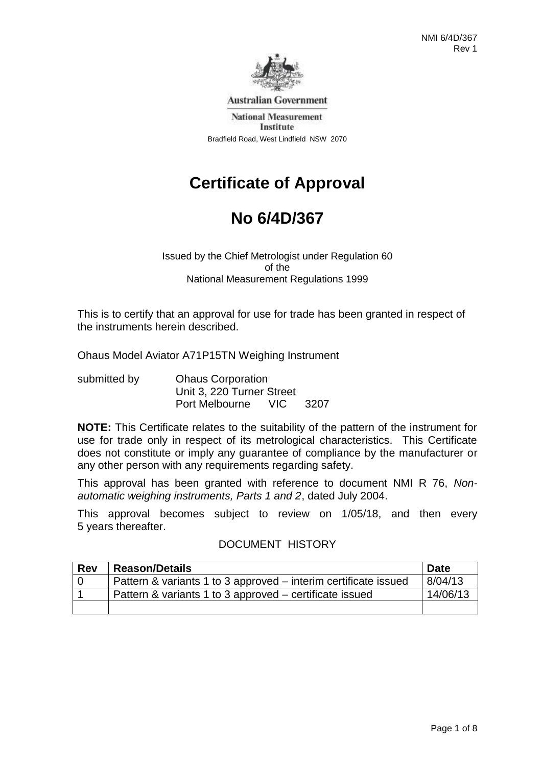

**Australian Government** 

**National Measurement** Institute Bradfield Road, West Lindfield NSW 2070

# **Certificate of Approval**

# **No 6/4D/367**

Issued by the Chief Metrologist under Regulation 60 of the National Measurement Regulations 1999

This is to certify that an approval for use for trade has been granted in respect of the instruments herein described.

Ohaus Model Aviator A71P15TN Weighing Instrument

| submitted by | <b>Ohaus Corporation</b>  |  |          |
|--------------|---------------------------|--|----------|
|              | Unit 3, 220 Turner Street |  |          |
|              | Port Melbourne            |  | VIC 3207 |

**NOTE:** This Certificate relates to the suitability of the pattern of the instrument for use for trade only in respect of its metrological characteristics. This Certificate does not constitute or imply any guarantee of compliance by the manufacturer or any other person with any requirements regarding safety.

This approval has been granted with reference to document NMI R 76, *Nonautomatic weighing instruments, Parts 1 and 2*, dated July 2004.

This approval becomes subject to review on 1/05/18, and then every 5 years thereafter.

### DOCUMENT HISTORY

| <b>Rev</b> | <b>Reason/Details</b>                                           | <b>Date</b> |
|------------|-----------------------------------------------------------------|-------------|
|            | Pattern & variants 1 to 3 approved – interim certificate issued | 8/04/13     |
|            | Pattern & variants 1 to 3 approved – certificate issued         | 14/06/13    |
|            |                                                                 |             |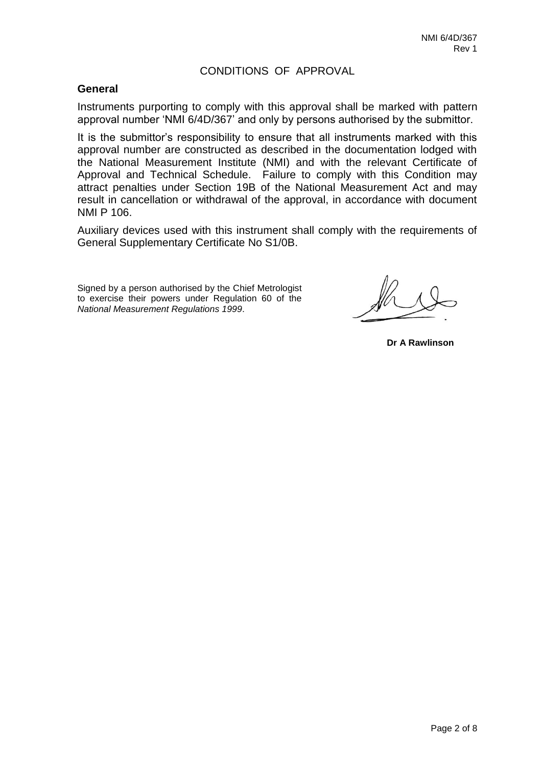### CONDITIONS OF APPROVAL

#### **General**

Instruments purporting to comply with this approval shall be marked with pattern approval number 'NMI 6/4D/367' and only by persons authorised by the submittor.

It is the submittor's responsibility to ensure that all instruments marked with this approval number are constructed as described in the documentation lodged with the National Measurement Institute (NMI) and with the relevant Certificate of Approval and Technical Schedule. Failure to comply with this Condition may attract penalties under Section 19B of the National Measurement Act and may result in cancellation or withdrawal of the approval, in accordance with document NMI P 106.

Auxiliary devices used with this instrument shall comply with the requirements of General Supplementary Certificate No S1/0B.

Signed by a person authorised by the Chief Metrologist to exercise their powers under Regulation 60 of the *National Measurement Regulations 1999*.

**Dr A Rawlinson**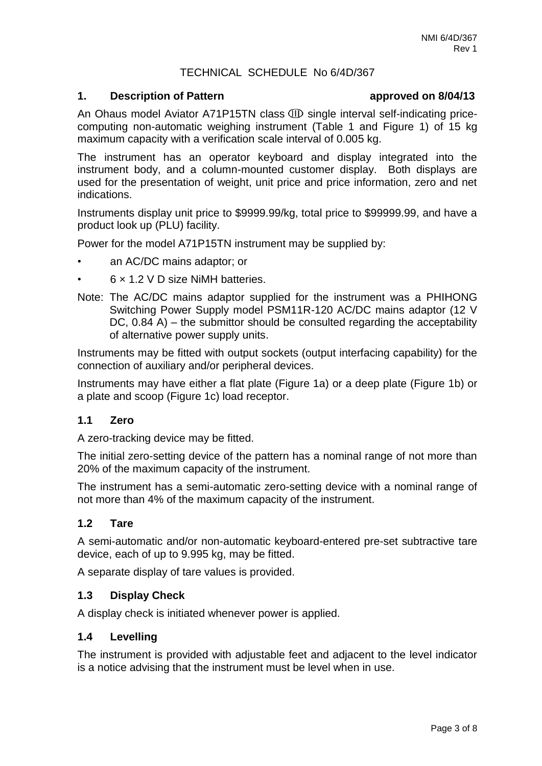# TECHNICAL SCHEDULE No 6/4D/367

#### **1. Description of Pattern approved on 8/04/13**

An Ohaus model Aviator A71P15TN class  $CD$  single interval self-indicating pricecomputing non-automatic weighing instrument (Table 1 and Figure 1) of 15 kg maximum capacity with a verification scale interval of 0.005 kg.

The instrument has an operator keyboard and display integrated into the instrument body, and a column-mounted customer display. Both displays are used for the presentation of weight, unit price and price information, zero and net indications.

Instruments display unit price to \$9999.99/kg, total price to \$99999.99, and have a product look up (PLU) facility.

Power for the model A71P15TN instrument may be supplied by:

- an AC/DC mains adaptor; or
- 6 × 1.2 V D size NiMH batteries.
- Note: The AC/DC mains adaptor supplied for the instrument was a PHIHONG Switching Power Supply model PSM11R-120 AC/DC mains adaptor (12 V DC, 0.84 A) – the submittor should be consulted regarding the acceptability of alternative power supply units.

Instruments may be fitted with output sockets (output interfacing capability) for the connection of auxiliary and/or peripheral devices.

Instruments may have either a flat plate (Figure 1a) or a deep plate (Figure 1b) or a plate and scoop (Figure 1c) load receptor.

#### **1.1 Zero**

A zero-tracking device may be fitted.

The initial zero-setting device of the pattern has a nominal range of not more than 20% of the maximum capacity of the instrument.

The instrument has a semi-automatic zero-setting device with a nominal range of not more than 4% of the maximum capacity of the instrument.

#### **1.2 Tare**

A semi-automatic and/or non-automatic keyboard-entered pre-set subtractive tare device, each of up to 9.995 kg, may be fitted.

A separate display of tare values is provided.

#### **1.3 Display Check**

A display check is initiated whenever power is applied.

#### **1.4 Levelling**

The instrument is provided with adjustable feet and adjacent to the level indicator is a notice advising that the instrument must be level when in use.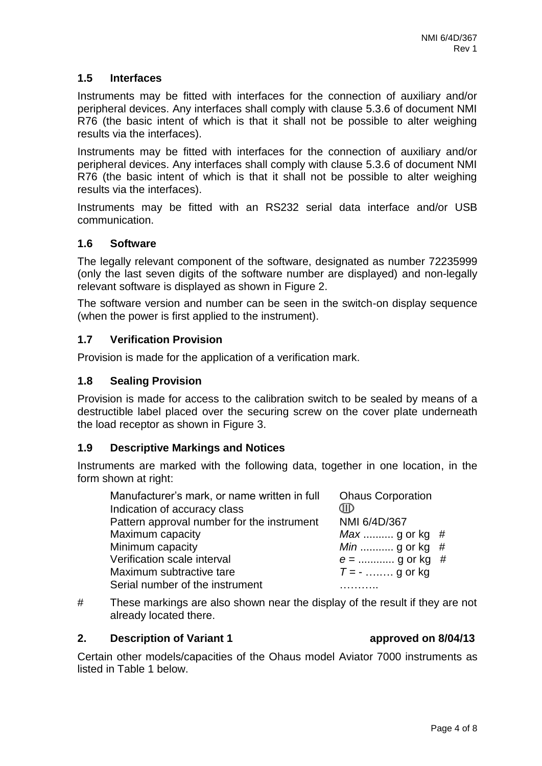### **1.5 Interfaces**

Instruments may be fitted with interfaces for the connection of auxiliary and/or peripheral devices. Any interfaces shall comply with clause 5.3.6 of document NMI R76 (the basic intent of which is that it shall not be possible to alter weighing results via the interfaces).

Instruments may be fitted with interfaces for the connection of auxiliary and/or peripheral devices. Any interfaces shall comply with clause 5.3.6 of document NMI R76 (the basic intent of which is that it shall not be possible to alter weighing results via the interfaces).

Instruments may be fitted with an RS232 serial data interface and/or USB communication.

# **1.6 Software**

The legally relevant component of the software, designated as number 72235999 (only the last seven digits of the software number are displayed) and non-legally relevant software is displayed as shown in Figure 2.

The software version and number can be seen in the switch-on display sequence (when the power is first applied to the instrument).

# **1.7 Verification Provision**

Provision is made for the application of a verification mark.

#### **1.8 Sealing Provision**

Provision is made for access to the calibration switch to be sealed by means of a destructible label placed over the securing screw on the cover plate underneath the load receptor as shown in Figure 3.

### **1.9 Descriptive Markings and Notices**

Instruments are marked with the following data, together in one location, in the form shown at right:

| Manufacturer's mark, or name written in full | <b>Ohaus Corporation</b> |
|----------------------------------------------|--------------------------|
| Indication of accuracy class                 | Œ                        |
| Pattern approval number for the instrument   | NMI 6/4D/367             |
| Maximum capacity                             | $Max$ g or kg #          |
| Minimum capacity                             | $Min$ g or kg #          |
| Verification scale interval                  | $e =$ g or kg #          |
| Maximum subtractive tare                     | $T = -$ g or kg          |
| Serial number of the instrument              |                          |

# These markings are also shown near the display of the result if they are not already located there.

#### **2.** Description of Variant 1 **a** approved on 8/04/13

Certain other models/capacities of the Ohaus model Aviator 7000 instruments as listed in Table 1 below.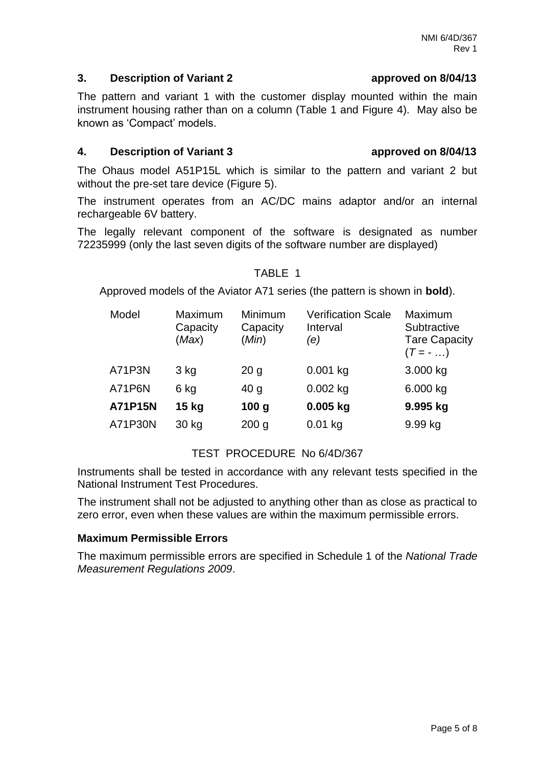# **3. Description of Variant 2****approved on 8/04/13**

The pattern and variant 1 with the customer display mounted within the main instrument housing rather than on a column (Table 1 and Figure 4). May also be known as 'Compact' models.

# **4. Description of Variant 3****approved on 8/04/13**

The Ohaus model A51P15L which is similar to the pattern and variant 2 but without the pre-set tare device (Figure 5).

The instrument operates from an AC/DC mains adaptor and/or an internal rechargeable 6V battery.

The legally relevant component of the software is designated as number 72235999 (only the last seven digits of the software number are displayed)

#### TABLE 1

Approved models of the Aviator A71 series (the pattern is shown in **bold**).

| Model          | Maximum<br>Capacity<br>(Max) | Minimum<br>Capacity<br>(Min) | <b>Verification Scale</b><br>Interval<br>(e) | Maximum<br>Subtractive<br><b>Tare Capacity</b><br>$(T = - \dots)$ |
|----------------|------------------------------|------------------------------|----------------------------------------------|-------------------------------------------------------------------|
| A71P3N         | 3 kg                         | 20 <sub>g</sub>              | $0.001$ kg                                   | 3.000 kg                                                          |
| A71P6N         | 6 kg                         | 40 <sub>g</sub>              | $0.002$ kg                                   | 6.000 kg                                                          |
| <b>A71P15N</b> | $15$ kg                      | 100 <sub>g</sub>             | $0.005$ kg                                   | 9.995 kg                                                          |
| A71P30N        | 30 kg                        | 200 <sub>g</sub>             | $0.01$ kg                                    | 9.99 kg                                                           |

# TEST PROCEDURE No 6/4D/367

Instruments shall be tested in accordance with any relevant tests specified in the National Instrument Test Procedures.

The instrument shall not be adjusted to anything other than as close as practical to zero error, even when these values are within the maximum permissible errors.

# **Maximum Permissible Errors**

The maximum permissible errors are specified in Schedule 1 of the *National Trade Measurement Regulations 2009*.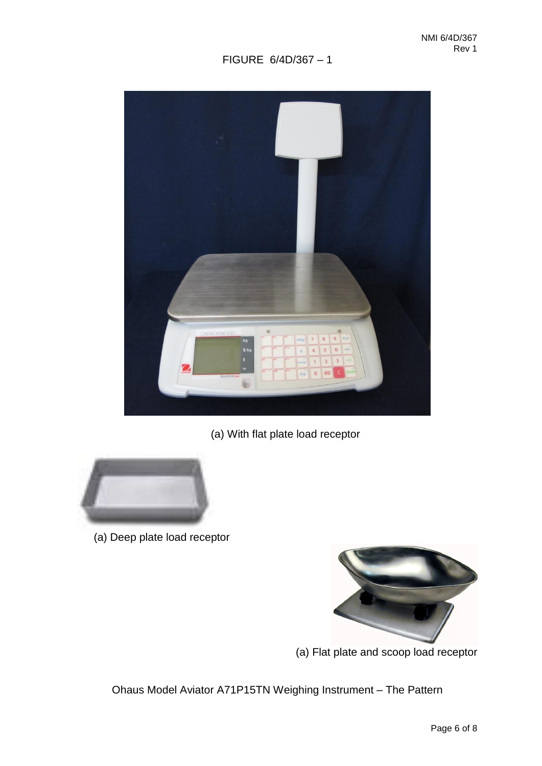# FIGURE 6/4D/367 – 1



# (a) With flat plate load receptor



(a) Deep plate load receptor



(a) Flat plate and scoop load receptor

Ohaus Model Aviator A71P15TN Weighing Instrument – The Pattern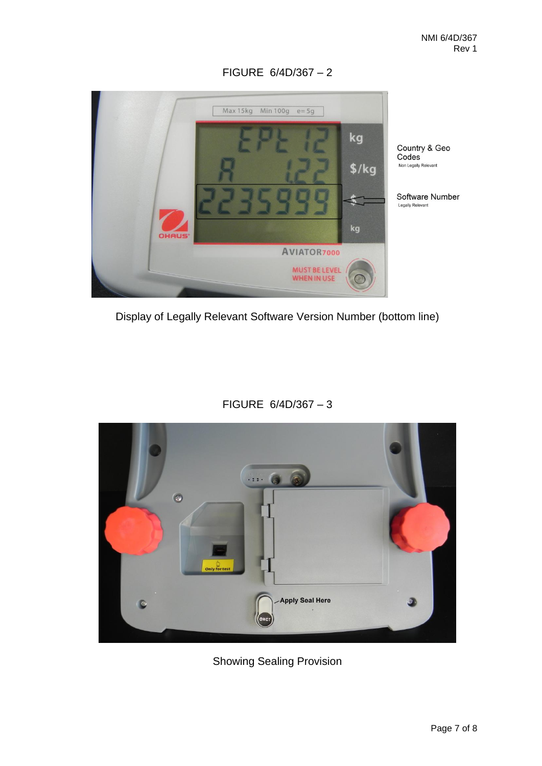

FIGURE 6/4D/367 – 2

Display of Legally Relevant Software Version Number (bottom line)

FIGURE 6/4D/367 – 3



Showing Sealing Provision